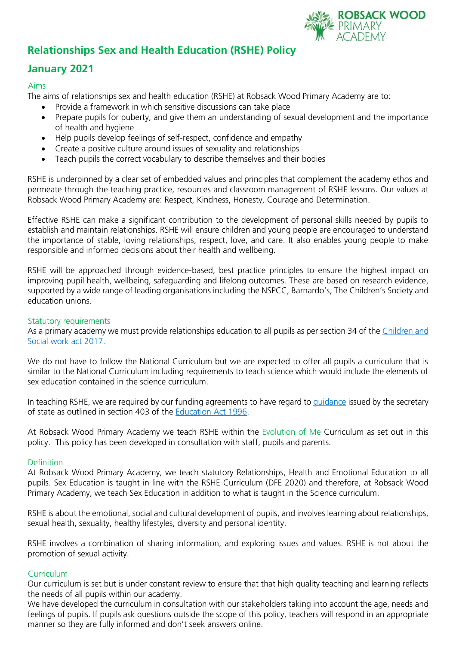

# **Relationships Sex and Health Education (RSHE) Policy**

# **January 2021**

### Aims

The aims of relationships sex and health education (RSHE) at Robsack Wood Primary Academy are to:

- Provide a framework in which sensitive discussions can take place
- Prepare pupils for puberty, and give them an understanding of sexual development and the importance of health and hygiene
- Help pupils develop feelings of self-respect, confidence and empathy
- Create a positive culture around issues of sexuality and relationships
- Teach pupils the correct vocabulary to describe themselves and their bodies

RSHE is underpinned by a clear set of embedded values and principles that complement the academy ethos and permeate through the teaching practice, resources and classroom management of RSHE lessons. Our values at Robsack Wood Primary Academy are: Respect, Kindness, Honesty, Courage and Determination.

Effective RSHE can make a significant contribution to the development of personal skills needed by pupils to establish and maintain relationships. RSHE will ensure children and young people are encouraged to understand the importance of stable, loving relationships, respect, love, and care. It also enables young people to make responsible and informed decisions about their health and wellbeing.

RSHE will be approached through evidence-based, best practice principles to ensure the highest impact on improving pupil health, wellbeing, safeguarding and lifelong outcomes. These are based on research evidence, supported by a wide range of leading organisations including the NSPCC, Barnardo's, The Children's Society and education unions.

#### Statutory requirements

As a primary academy we must provide relationships education to all pupils as per section 34 of the Children and [Social work act 2017.](http://www.legislation.gov.uk/ukpga/2017/16/section/34/enacted)

We do not have to follow the National Curriculum but we are expected to offer all pupils a curriculum that is similar to the National Curriculum including requirements to teach science which would include the elements of sex education contained in the science curriculum.

In teaching RSHE, we are required by our funding agreements to have regard to [guidance](https://www.gov.uk/government/consultations/relationships-and-sex-education-and-health-education) issued by the secretary of state as outlined in section 403 of the [Education Act 1996.](http://www.legislation.gov.uk/ukpga/1996/56/contents)

At Robsack Wood Primary Academy we teach RSHE within the Evolution of Me Curriculum as set out in this policy. This policy has been developed in consultation with staff, pupils and parents.

#### **Definition**

At Robsack Wood Primary Academy, we teach statutory Relationships, Health and Emotional Education to all pupils. Sex Education is taught in line with the RSHE Curriculum (DFE 2020) and therefore, at Robsack Wood Primary Academy, we teach Sex Education in addition to what is taught in the Science curriculum.

RSHE is about the emotional, social and cultural development of pupils, and involves learning about relationships, sexual health, sexuality, healthy lifestyles, diversity and personal identity.

RSHE involves a combination of sharing information, and exploring issues and values. RSHE is not about the promotion of sexual activity.

#### **Curriculum**

Our curriculum is set but is under constant review to ensure that that high quality teaching and learning reflects the needs of all pupils within our academy.

We have developed the curriculum in consultation with our stakeholders taking into account the age, needs and feelings of pupils. If pupils ask questions outside the scope of this policy, teachers will respond in an appropriate manner so they are fully informed and don't seek answers online.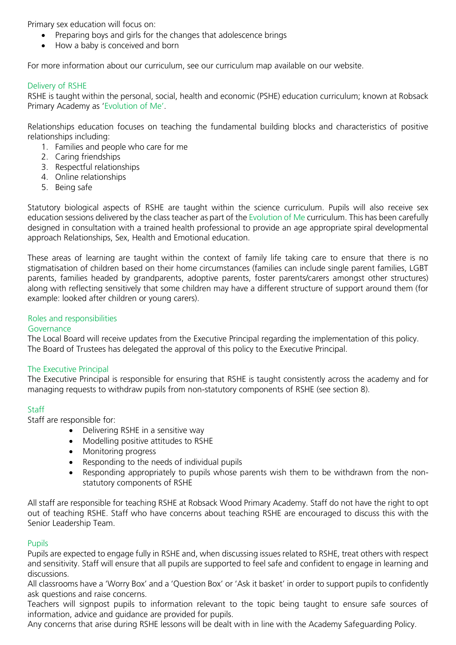Primary sex education will focus on:

- Preparing boys and girls for the changes that adolescence brings
- How a baby is conceived and born

For more information about our curriculum, see our curriculum map available on our website.

#### Delivery of RSHE

RSHE is taught within the personal, social, health and economic (PSHE) education curriculum; known at Robsack Primary Academy as 'Evolution of Me'.

Relationships education focuses on teaching the fundamental building blocks and characteristics of positive relationships including:

- 1. Families and people who care for me
- 2. Caring friendships
- 3. Respectful relationships
- 4. Online relationships
- 5. Being safe

Statutory biological aspects of RSHE are taught within the science curriculum. Pupils will also receive sex education sessions delivered by the class teacher as part of the Evolution of Me curriculum. This has been carefully designed in consultation with a trained health professional to provide an age appropriate spiral developmental approach Relationships, Sex, Health and Emotional education.

These areas of learning are taught within the context of family life taking care to ensure that there is no stigmatisation of children based on their home circumstances (families can include single parent families, LGBT parents, families headed by grandparents, adoptive parents, foster parents/carers amongst other structures) along with reflecting sensitively that some children may have a different structure of support around them (for example: looked after children or young carers).

### Roles and responsibilities

#### Governance

The Local Board will receive updates from the Executive Principal regarding the implementation of this policy. The Board of Trustees has delegated the approval of this policy to the Executive Principal.

#### The Executive Principal

The Executive Principal is responsible for ensuring that RSHE is taught consistently across the academy and for managing requests to withdraw pupils from non-statutory components of RSHE (see section 8).

#### **Staff**

Staff are responsible for:

- Delivering RSHE in a sensitive way
- Modelling positive attitudes to RSHE
- Monitoring progress
- Responding to the needs of individual pupils
- Responding appropriately to pupils whose parents wish them to be withdrawn from the nonstatutory components of RSHE

All staff are responsible for teaching RSHE at Robsack Wood Primary Academy. Staff do not have the right to opt out of teaching RSHE. Staff who have concerns about teaching RSHE are encouraged to discuss this with the Senior Leadership Team.

#### Pupils

Pupils are expected to engage fully in RSHE and, when discussing issues related to RSHE, treat others with respect and sensitivity. Staff will ensure that all pupils are supported to feel safe and confident to engage in learning and discussions.

All classrooms have a 'Worry Box' and a 'Question Box' or 'Ask it basket' in order to support pupils to confidently ask questions and raise concerns.

Teachers will signpost pupils to information relevant to the topic being taught to ensure safe sources of information, advice and guidance are provided for pupils.

Any concerns that arise during RSHE lessons will be dealt with in line with the Academy Safeguarding Policy.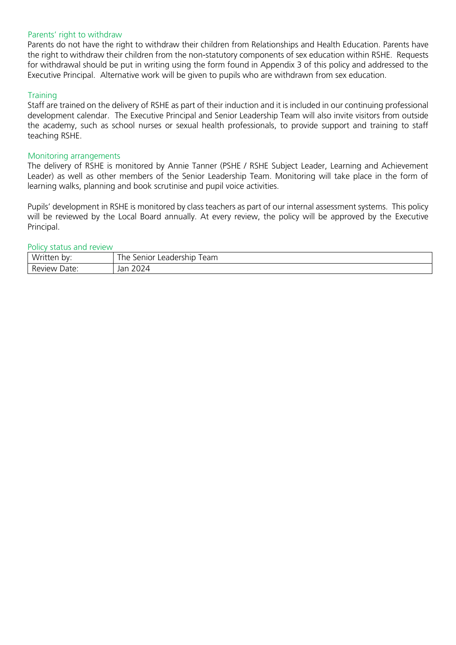#### Parents' right to withdraw

Parents do not have the right to withdraw their children from Relationships and Health Education. Parents have the right to withdraw their children from the non-statutory components of sex education within RSHE. Requests for withdrawal should be put in writing using the form found in Appendix 3 of this policy and addressed to the Executive Principal. Alternative work will be given to pupils who are withdrawn from sex education.

#### **Training**

Staff are trained on the delivery of RSHE as part of their induction and it is included in our continuing professional development calendar. The Executive Principal and Senior Leadership Team will also invite visitors from outside the academy, such as school nurses or sexual health professionals, to provide support and training to staff teaching RSHE.

#### Monitoring arrangements

The delivery of RSHE is monitored by Annie Tanner (PSHE / RSHE Subject Leader, Learning and Achievement Leader) as well as other members of the Senior Leadership Team. Monitoring will take place in the form of learning walks, planning and book scrutinise and pupil voice activities.

Pupils' development in RSHE is monitored by class teachers as part of our internal assessment systems. This policy will be reviewed by the Local Board annually. At every review, the policy will be approved by the Executive Principal.

#### Policy status and review

| Wr:<br>bv:<br>- -<br>″ ص<br>$\cdot$ . | $-$<br>rollor<br>leam<br>he<br>Leadership<br>ШOГ<br>. . |
|---------------------------------------|---------------------------------------------------------|
| ∽                                     | $\cap$                                                  |
| Date:                                 | Jar                                                     |
| Review                                |                                                         |